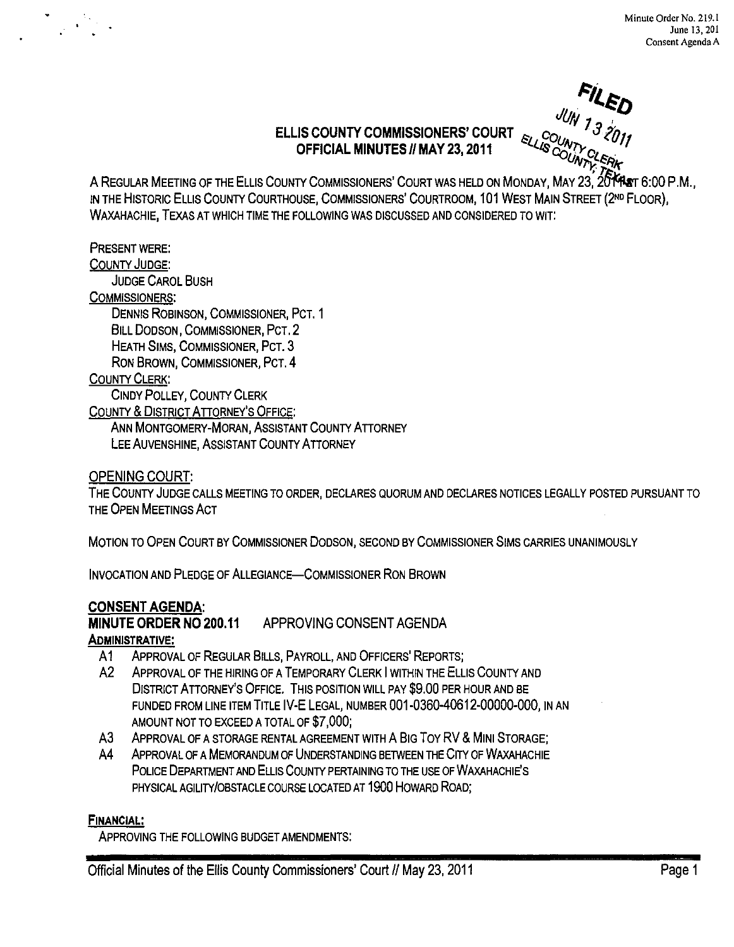JU<sub>N</sub> 7 **CD** 

iV7)< *7-,1i1(* 

# **ELLIS COUNTY COMMISSIONERS' COURT** OFFICIAL MINUTES // MAY 23, 2011

A REGULAR MEETING OF THE ELLIS COUNTY COMMISSIONERS' COURT WAS HELD ON MONDAY, MAY 23, 20 **14 AB**T 6:00 P.M., IN THE HISTORIC ELLIS COUNTY COURTHOUSE, COMMISSIONERS' COURTROOM, 101 WEST MAIN STREET (2ND FLOOR), WAXAHACHIE, TEXAS AT WHICH TIME THE FOLLOWING WAS DISCUSSED AND CONSIDERED TO WIT:

### PRESENT WERE:

COUNTY JUDGE:

JUDGE CAROL BUSH

#### COMMISSIONERS:

DENNIS ROBINSON, COMMISSIONER, PCT. 1 BILL DODSON, COMMISSIONER, PCT. 2 HEATH SIMS, COMMISSIONER, PCT. 3 RON BROWN, COMMISSIONER, PCT. 4

### COUNTY CLERK:

CINDY POLLEY, COUNTY CLERK

COUNTY & DISTRICT ATTORNEY'S OFFICE:

ANN MONTGOMERY-MORAN, ASSISTANT COUNTY ATTORNEY LEE AUVENSHINE, ASSISTANT COUNTY ATTORNEY

OPENING COURT:

THE COUNTY JUDGE CALLS MEETING TO ORDER, DECLARES QUORUM AND DECLARES NOTICES LEGALLY POSTED PURSUANT TO THE OPEN MEETINGS ACT

MOTION TO OPEN COURT BY COMMISSIONER DODSON, SECOND BY COMMISSIONER SIMS CARRIES UNANIMOUSLY

INVOCATION AND PLEDGE OF ALLEGIANCE-COMMISSIONER RON BROWN

# CONSENT AGENDA:

MINUTE ORDER NO 200.11 APPROVING CONSENT AGENDA

ADMINISTRATIVE:

- A1 APPROVAL OF REGULAR BILLS, PAYROLL, AND OFFICERS' REPORTS;
- A2 ApPROVAL OF THE HIRING OF A TEMPORARY CLERK I WITHIN THE ELLIS COUNTY AND DISTRICT ATTORNEY'S OFFICE. THIS POSITION WILL PAY \$9.00 PER HOUR AND BE FUNDED FROM LINE ITEM TITLE IV-E LEGAL, NUMBER 001-0360-40612-00000-000, IN AN AMOUNT NOT TO EXCEED A TOTAL OF \$7,000;
- A3 APPROVAL OF A STORAGE RENTAL AGREEMENT WITH A BIG TOY RV & MINI STORAGE:
- A4 ApPROVAL OF A MEMORANDUM OF UNDERSTANDING BETWEEN THE CITY OF WAXAHACHIE POLICE DEPARTMENT AND ELLIS COUNTY PERTAINING TO THE USE OF WAXAHACHIE'S PHYSICAL AGILITY/OBSTACLE COURSE LOCATED AT 1900 HOWARD ROAD;

#### FINANCIAL:

ApPROVING THE FOLLOWING BUDGET AMENDMENTS: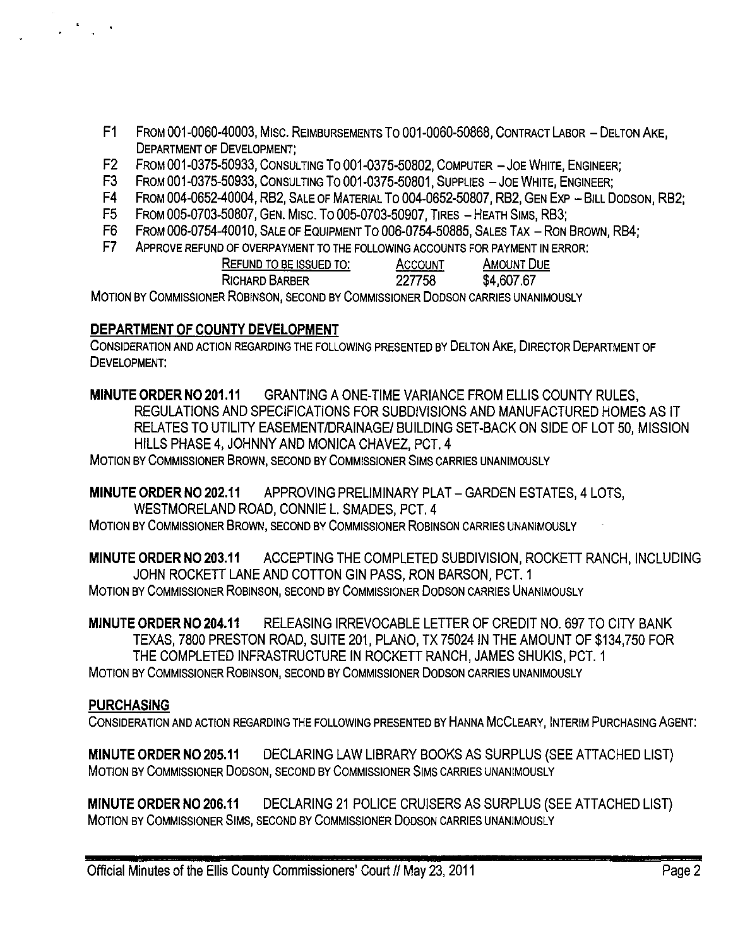- F1 FROM 001-0060-40003, MIsc. REIMBURSEMENTS To 001-0060-50868, CONTRACT LABOR DELTON AKE, DEPARTMENT OF DEVELOPMENT;
- F2 FROM 001-0375-50933, CONSULTING To 001-0375-50802, COMPUTER JOE WHITE, ENGINEER;
- F3 FROM 001-0375-50933, CONSULTING TO 001-0375-50801, SUPPLIES JOE WHITE, ENGINEER;
- F4 FROM 004-0652-40004, RB2, SALE OF MATERIAL TO 004-0652-50807, RB2, GEN EXP BILL DODSON, RB2;<br>F5 FROM 005-0703-50807, GEN. MISC. TO 005-0703-50907, TIRES HEATH SIMS, RB3;
- F5 FROM 005-0703-50807, GEN. MISC. TO 005-0703-50907, TIRES HEATH SIMS, RB3;<br>F6 FROM 006-0754-40010, SALE OF EQUIPMENT TO 006-0754-50885, SALES TAX RON
- FROM 006-0754-40010, SALE OF EQUIPMENT TO 006-0754-50885, SALES TAX RON BROWN, RB4;
- F7 ApPROVE REFUND OF OVERPAYMENT TO THE FOLLOWING ACCOUNTS FOR PAYMENT IN ERROR:

| REFUND TO BE ISSUED TO:                                                                                                                                                                                                           | ACCOUNT | <b>AMOUNT DUE</b> |
|-----------------------------------------------------------------------------------------------------------------------------------------------------------------------------------------------------------------------------------|---------|-------------------|
| RICHARD BARBER                                                                                                                                                                                                                    | 227758  | \$4,607.67        |
| . Hence, the contract of the contract of $\mathbf{A}$ and the contract of the contract of the contract of the contract of the contract of the contract of the contract of the contract of the contract of the contract of the con |         |                   |

MOTION BY COMMISSIONER ROBINSON, SECOND BY COMMISSIONER DODSON CARRIES UNANIMOUSLY

# **DEPARTMENT OF COUNTY DEVELOPMENT**

CONSIDERATION AND ACTION REGARDING THE FOLLOWING PRESENTED BY DELTON AKE, DIRECTOR DEPARTMENT OF DEVELOPMENT:

**MINUTE ORDER NO 201.11** GRANTING A ONE-TIME VARIANCE FROM ELLIS COUNTY RULES, REGULATIONS AND SPECIFICATIONS FOR SUBDIVISIONS AND MANUFACTURED HOMES AS IT RELATES TO UTILITY EASEMENT/DRAINAGE/ BUILDING SET-BACK ON SIDE OF LOT 50, MISSION HILLS PHASE 4, JOHNNY AND MONICA CHAVEZ, PCT. 4

MOTION BY COMMISSIONER BROWN, SECOND BY COMMISSIONER SIMS CARRIES UNANIMOUSLY

**MINUTE ORDER NO 202.11** APPROVING PRELIMINARY PLAT - GARDEN ESTATES, 4 LOTS, WESTMORELAND ROAD, CONNIE L. SMADES, PCT. 4

MOTION BY COMMISSIONER BROWN, SECOND BY COMMISSIONER ROBINSON CARRIES UNANIMOUSLY

**MINUTE ORDER NO 203.11** ACCEPTING THE COMPLETED SUBDIVISION, ROCKEIT RANCH, INCLUDING JOHN ROCKETT LANE AND COTTON GIN PASS, RON BARSON, PCT. 1 MOTION BY COMMISSIONER ROBINSON, SECOND BY COMMISSIONER DODSON CARRIES UNANIMOUSLY

**MINUTE ORDER NO 204.11** RELEASING IRREVOCABLE LEITER OF CREDIT NO. 697 TO CITY BANK TEXAS, 7800 PRESTON ROAD, SUITE 201, PLANO, TX 75024 IN THE AMOUNT OF \$134,750 FOR THE COMPLETED INFRASTRUCTURE IN ROCKETT RANCH, JAMES SHUKIS, PCT. 1 MOTION BY COMMISSIONER ROBINSON, SECOND BY COMMISSIONER DODSON CARRIES UNANIMOUSLY

# **PURCHASING**

CONSIDERATION AND ACTION REGARDING THE FOLLOWING PRESENTED BY HANNA MCCLEARY, INTERIM PURCHASING AGENT:

**MINUTE ORDER NO 205.11 DECLARING LAW LIBRARY BOOKS AS SURPLUS (SEE ATTACHED LIST)** MOTION BY COMMISSIONER DODSON, SECOND BY COMMISSIONER SIMS CARRIES UNANIMOUSLY

**MINUTE ORDER NO 206.11 DECLARING 21 POLICE CRUISERS AS SURPLUS (SEE ATTACHED LIST)** MOTION BY COMMISSIONER SIMS, SECOND BY COMMISSIONER DODSON CARRIES UNANIMOUSLY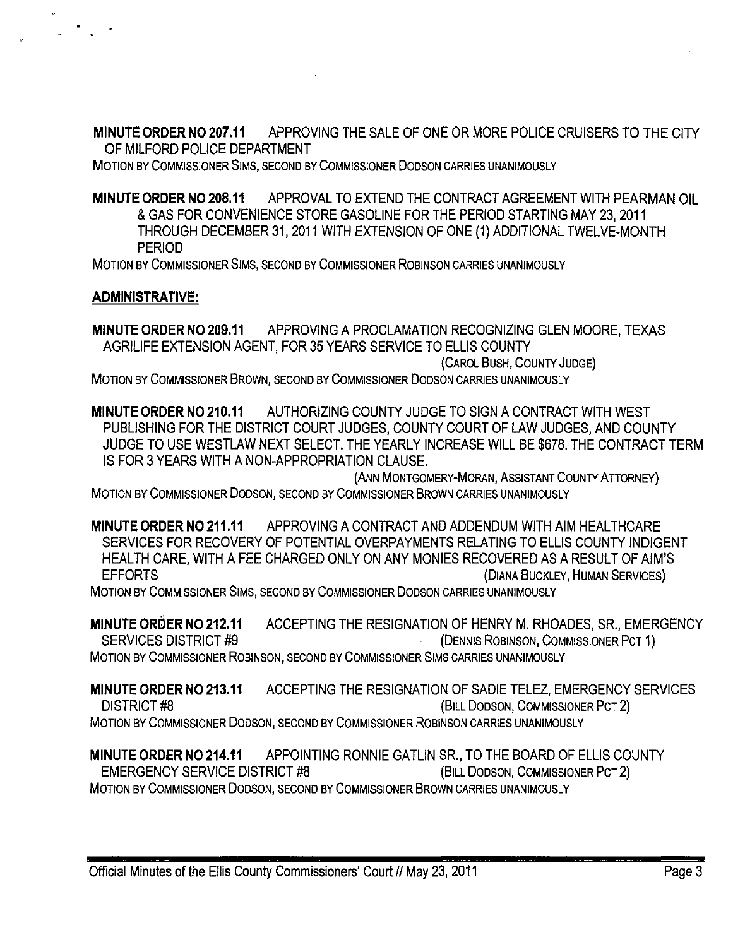MINUTE ORDER N0207.11 APPROVING THE SALE OF ONE OR MORE POLICE CRUISERS TO THE CITY OF MILFORD POLICE DEPARTMENT

MOTION BY COMMISSIONER SIMS, SECOND BY COMMISSIONER DODSON CARRIES UNANIMOUSLY

MINUTE ORDER NO 208.11 APPROVAL TO EXTEND THE CONTRACT AGREEMENT WITH PEARMAN OIL & GAS FOR CONVENIENCE STORE GASOLINE FOR THE PERIOD STARTING MAY 23,2011 THROUGH DECEMBER 31,2011 WITH EXTENSION OF ONE (1) ADDITIONAL TWELVE-MONTH PERIOD

MOTION BY COMMISSIONER SIMS, SECOND BY COMMISSIONER ROBINSON CARRIES UNANIMOUSLY

### ADMINISTRATIVE:

MINUTE ORDER NO 209.11 APPROVING A PROCLAMATION RECOGNIZING GLEN MOORE, TEXAS AGRILIFE EXTENSION AGENT, FOR 35 YEARS SERVICE TO ELLIS COUNTY (CAROL BUSH, COUNTY JUDGE) MOTION BY COMMISSIONER BROWN, SECOND BY COMMISSIONER DODSON CARRIES UNANIMOUSLY

MINUTE ORDER NO 210.11 AUTHORIZING COUNTY JUDGE TO SIGN A CONTRACT WITH WEST PUBLISHING FOR THE DISTRICT COURT JUDGES, COUNTY COURT OF LAW JUDGES, AND COUNTY JUDGE TO USE WESTLAW NEXT SELECT. THE YEARLY INCREASE WILL BE \$678. THE CONTRACT TERM IS FOR 3 YEARS WITH A NON-APPROPRIATION CLAUSE.

(ANN MONTGOMERY-MORAN, ASSISTANT COUNTY ATTORNEY) MOTION BY COMMISSIONER DODSON, SECOND BY COMMISSIONER BROWN CARRIES UNANIMOUSLY

MINUTE ORDER NO 211.11 APPROVING A CONTRACT AND ADDENDUM WITH AIM HEALTHCARE SERVICES FOR RECOVERY OF POTENTIAL OVERPAYMENTS RELATING TO ELLIS COUNTY INDIGENT HEALTH CARE, WITH A FEE CHARGED ONLY ON ANY MONIES RECOVERED AS A RESULT OF AIM'S EFFORTS (DIANA BUCKLEY, HUMAN SERVICES) MOTION BY COMMISSIONER SIMS, SECOND BY COMMISSIONER DODSON CARRIES UNANIMOUSLY

MINUTE ORDER NO 212.11 ACCEPTING THE RESIGNATION OF HENRY M. RHOADES, SR., EMERGENCY SERVICES DISTRICT #9 (DENNIS ROBINSON, COMMISSIONER PCT 1) MOTION BY COMMISSIONER ROBINSON, SECOND BY COMMISSIONER SIMS CARRIES UNANIMOUSLY

MINUTE ORDER NO 213.11 ACCEPTING THE RESIGNATION OF SADIE TELEZ, EMERGENCY SERVICES DISTRICT #8 (BILL DODSON, COMMISSIONER PCT 2) MOTION BY COMMISSIONER DODSON, SECOND BY COMMISSIONER ROBINSON CARRIES UNANIMOUSLY

MINUTE ORDER NO 214.11 APPOINTING RONNIE GATLIN SR., TO THE BOARD OF ELLIS COUNTY EMERGENCY SERVICE DISTRICT #8 (BILL DODSON, COMMISSIONER PCT 2) MOTION BY COMMISSIONER DODSON, SECOND BY COMMISSIONER BROWN CARRIES UNANIMOUSLY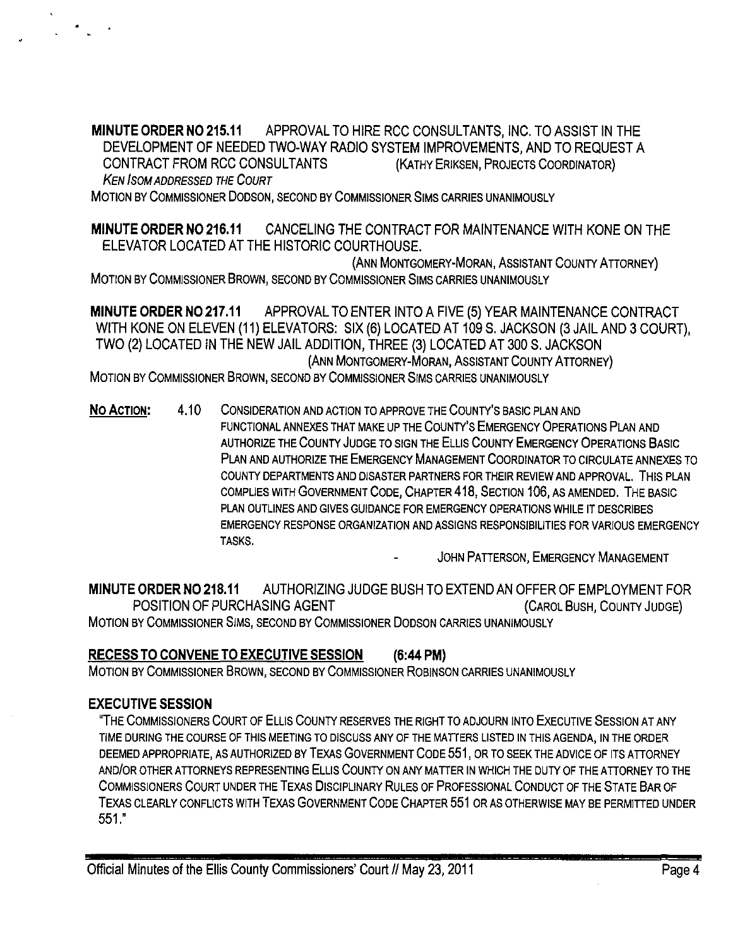MINUTE ORDER NO 215.11 APPROVAL TO HIRE RCC CONSULTANTS, INC. TO ASSIST IN THE DEVELOPMENT OF NEEDED TWO-WAY RADIO SYSTEM IMPROVEMENTS, AND TO REQUEST A CONTRACT FROM RCC CONSULTANTS (KATHY ERIKSEN, PROJECTS COORDINATOR) KEN ISOM ADDRESSED THE COURT

MOTION BY COMMISSIONER DODSON, SECOND BY COMMISSIONER SIMS CARRIES UNANIMOUSLY

MINUTE ORDER NO 216.11 CANCELING THE CONTRACT FOR MAINTENANCE WITH KONE ON THE ELEVATOR LOCATED AT THE HISTORIC COURTHOUSE.

(ANN MONTGOMERY-MORAN, ASSISTANT COUNTY ATIORNEY) MOTION BY COMMISSIONER BROWN, SECOND BY COMMISSIONER SIMS CARRIES UNANIMOUSLY

MINUTE ORDER NO 217.11 APPROVAL TO ENTER INTO A FIVE (5) YEAR MAINTENANCE CONTRACT WITH KONE ON ELEVEN (11) ELEVATORS: SIX (6) LOCATED AT 109 S. JACKSON (3 JAIL AND 3 COURT), TWO (2) LOCATED IN THE NEW JAIL ADDITION, THREE (3) LOCATED AT 300 S. JACKSON (ANN MONTGOMERY-MORAN, ASSISTANT COUNTY ATIORNEY)

MOTION BY COMMISSIONER BROWN, SECOND BY COMMISSIONER SIMS CARRIES UNANIMOUSLY

NO ACTION: 4.10 CONSIDERATION AND ACTION TO APPROVE THE COUNTY'S BASIC PLAN AND FUNCTIONAL ANNEXES THAT MAKE UP THE COUNTY'S EMERGENCY OPERATIONS PLAN AND AUTHORIZE THE COUNTY JUDGE TO SIGN THE ELLIS COUNTY EMERGENCY OPERATIONS BASIC PLAN AND AUTHORIZE THE EMERGENCY MANAGEMENT COORDINATOR TO CIRCULATE ANNEXES TO COUNTY DEPARTMENTS AND DISASTER PARTNERS FOR THEIR REVIEW AND APPROVAL. THIS PLAN COMPLIES WITH GOVERNMENT CODE, CHAPTER 418, SECTION 106, AS AMENDED. THE BASIC PLAN OUTLINES AND GIVES GUIDANCE FOR EMERGENCY OPERATIONS WHILE IT DESCRIBES EMERGENCY RESPONSE ORGANIZATION AND ASSIGNS RESPONSIBILITIES FOR VARIOUS EMERGENCY TASKS.

JOHN PATTERSON, EMERGENCY MANAGEMENT

MINUTE ORDER NO 218.11 AUTHORIZING JUDGE BUSH TO EXTEND AN OFFER OF EMPLOYMENT FOR POSITION OF PURCHASING AGENT **EXAMPLE 2018 COUNTY ACCAROL BUSH, COUNTY JUDGE** MOTION BY COMMISSIONER SIMS, SECOND BY COMMISSIONER DODSON CARRIES UNANIMOUSLY

# RECESS TO CONVENE TO EXECUTIVE SESSION (6:44 PM)

MOTION BY COMMISSIONER BROWN, SECOND BY COMMISSIONER ROBINSON CARRIES UNANIMOUSLY

# EXECUTIVE SESSION

"THE COMMISSIONERS COURT OF ELLIS COUNTY RESERVES THE RIGHT TO ADJOURN INTO EXECUTIVE SESSION AT ANY TIME DURING THE COURSE OF THIS MEETING TO DISCUSS ANY OF THE MATIERS LISTED IN THIS AGENDA, IN THE ORDER DEEMED APPROPRIATE, AS AUTHORIZED BY TEXAS GOVERNMENT CODE 551, OR TO SEEK THE ADVICE OF ITS ATTORNEY AND/OR OTHER ATIORNEYS REPRESENTING ELLIS COUNTY ON ANY MA TIER IN WHICH THE DUTY OF THE A TIORNEY TO THE COMMISSIONERS COURT UNDER THE TEXAS DISCIPLINARY RULES OF PROFESSIONAL CONDUCT OF THE STATE BAR OF TEXAS CLEARLY CONFLICTS WITH TEXAS GOVERNMENT CODE CHAPTER 551 OR AS OTHERWISE MAY BE PERMITIED UNDER 551."